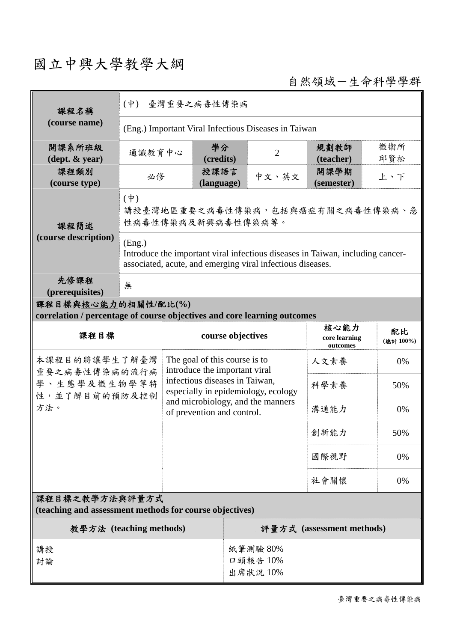## 國立中興大學教學大綱

自然領域-生命科學學群

| 課程名稱                                                                                            | (中) 臺灣重要之病毒性傳染病                                                                                                                                        |                                                                                                                                                                                                                                                       |                                                        |  |                                 |                                   |                |  |
|-------------------------------------------------------------------------------------------------|--------------------------------------------------------------------------------------------------------------------------------------------------------|-------------------------------------------------------------------------------------------------------------------------------------------------------------------------------------------------------------------------------------------------------|--------------------------------------------------------|--|---------------------------------|-----------------------------------|----------------|--|
| (course name)                                                                                   | (Eng.) Important Viral Infectious Diseases in Taiwan                                                                                                   |                                                                                                                                                                                                                                                       |                                                        |  |                                 |                                   |                |  |
| 開課系所班級<br>$(\text{dept.} \& \text{ year})$                                                      | 通識教育中心                                                                                                                                                 |                                                                                                                                                                                                                                                       | 學分<br>(credits)                                        |  | $\overline{2}$                  | 規劃教師<br>(teacher)                 | 微衛所<br>邱賢松     |  |
| 課程類別<br>(course type)                                                                           | 必修                                                                                                                                                     |                                                                                                                                                                                                                                                       | 授課語言<br>(language)                                     |  | 中文、英文                           | 開課學期<br>(semester)                | 上、下            |  |
| 課程簡述                                                                                            | $(\dagger)$                                                                                                                                            |                                                                                                                                                                                                                                                       | 講授臺灣地區重要之病毒性傳染病,包括與癌症有關之病毒性傳染病、急<br>性病毒性傳染病及新興病毒性傳染病等。 |  |                                 |                                   |                |  |
| (course description)                                                                            | (Eng.)<br>Introduce the important viral infectious diseases in Taiwan, including cancer-<br>associated, acute, and emerging viral infectious diseases. |                                                                                                                                                                                                                                                       |                                                        |  |                                 |                                   |                |  |
| 先修課程<br>(prerequisites)                                                                         | 無                                                                                                                                                      |                                                                                                                                                                                                                                                       |                                                        |  |                                 |                                   |                |  |
| 課程目標與核心能力的相關性/配比(%)<br>correlation / percentage of course objectives and core learning outcomes |                                                                                                                                                        |                                                                                                                                                                                                                                                       |                                                        |  |                                 |                                   |                |  |
| 課程目標                                                                                            |                                                                                                                                                        |                                                                                                                                                                                                                                                       | course objectives                                      |  |                                 | 核心能力<br>core learning<br>outcomes | 配比<br>(總計100%) |  |
| 本課程目的將讓學生了解臺灣<br>重要之病毒性傳染病的流行病                                                                  |                                                                                                                                                        | The goal of this course is to<br>人文素養<br>0%<br>introduce the important viral<br>infectious diseases in Taiwan,<br>科學素養<br>50%<br>especially in epidemiology, ecology<br>and microbiology, and the manners<br>溝通能力<br>0%<br>of prevention and control. |                                                        |  |                                 |                                   |                |  |
| 學、生態學及微生物學等特<br>性,並了解目前的預防及控制                                                                   |                                                                                                                                                        |                                                                                                                                                                                                                                                       |                                                        |  |                                 |                                   |                |  |
| 方法。                                                                                             |                                                                                                                                                        |                                                                                                                                                                                                                                                       |                                                        |  |                                 |                                   |                |  |
|                                                                                                 |                                                                                                                                                        |                                                                                                                                                                                                                                                       |                                                        |  |                                 | 創新能力                              | 50%            |  |
|                                                                                                 |                                                                                                                                                        |                                                                                                                                                                                                                                                       |                                                        |  |                                 | 國際視野                              | 0%             |  |
|                                                                                                 |                                                                                                                                                        |                                                                                                                                                                                                                                                       |                                                        |  |                                 | 社會關懷                              | 0%             |  |
| 課程目標之教學方法與評量方式<br>(teaching and assessment methods for course objectives)                       |                                                                                                                                                        |                                                                                                                                                                                                                                                       |                                                        |  |                                 |                                   |                |  |
| 教學方法 (teaching methods)                                                                         |                                                                                                                                                        |                                                                                                                                                                                                                                                       |                                                        |  |                                 | 評量方式 (assessment methods)         |                |  |
| 講授<br>討論                                                                                        |                                                                                                                                                        |                                                                                                                                                                                                                                                       |                                                        |  | 紙筆測驗 80%<br>口頭報告 10%<br>出席狀況10% |                                   |                |  |